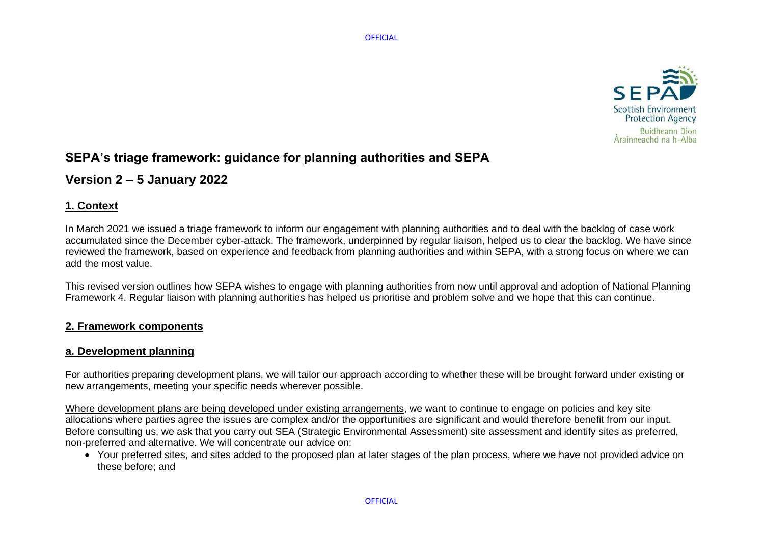

# **SEPA's triage framework: guidance for planning authorities and SEPA**

# **Version 2 – 5 January 2022**

# **1. Context**

In March 2021 we issued a triage framework to inform our engagement with planning authorities and to deal with the backlog of case work accumulated since the December cyber-attack. The framework, underpinned by regular liaison, helped us to clear the backlog. We have since reviewed the framework, based on experience and feedback from planning authorities and within SEPA, with a strong focus on where we can add the most value.

This revised version outlines how SEPA wishes to engage with planning authorities from now until approval and adoption of National Planning Framework 4. Regular liaison with planning authorities has helped us prioritise and problem solve and we hope that this can continue.

# **2. Framework components**

# **a. Development planning**

For authorities preparing development plans, we will tailor our approach according to whether these will be brought forward under existing or new arrangements, meeting your specific needs wherever possible.

Where development plans are being developed under existing arrangements, we want to continue to engage on policies and key site allocations where parties agree the issues are complex and/or the opportunities are significant and would therefore benefit from our input. Before consulting us, we ask that you carry out SEA (Strategic Environmental Assessment) site assessment and identify sites as preferred, non-preferred and alternative. We will concentrate our advice on:

• Your preferred sites, and sites added to the proposed plan at later stages of the plan process, where we have not provided advice on these before; and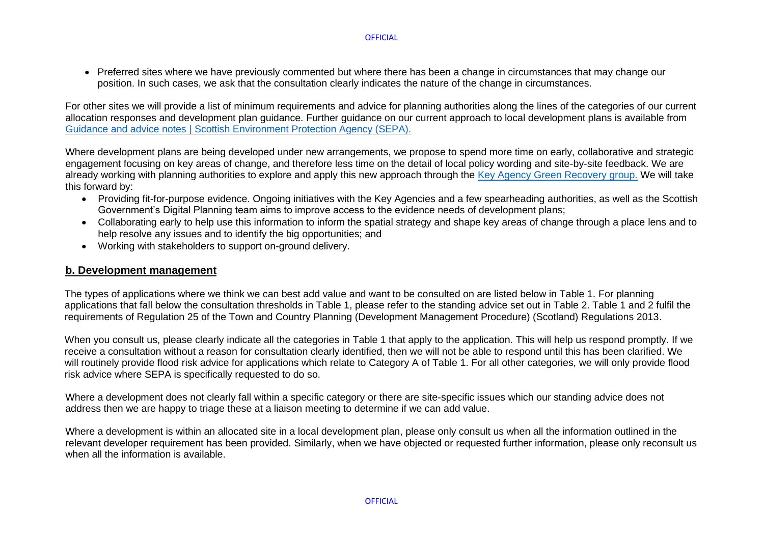• Preferred sites where we have previously commented but where there has been a change in circumstances that may change our position. In such cases, we ask that the consultation clearly indicates the nature of the change in circumstances.

For other sites we will provide a list of minimum requirements and advice for planning authorities along the lines of the categories of our current allocation responses and development plan guidance. Further guidance on our current approach to local development plans is available from [Guidance and advice notes | Scottish Environment Protection Agency \(SEPA\).](https://www.sepa.org.uk/environment/land/planning/guidance-and-advice-notes/)

Where development plans are being developed under new arrangements, we propose to spend more time on early, collaborative and strategic engagement focusing on key areas of change, and therefore less time on the detail of local policy wording and site-by-site feedback. We are already working with planning authorities to explore and apply this new approach through the [Key Agency Green Recovery group.](https://www.gov.scot/publications/key-agencies-planning-group-supporting-a-green-recovery-offer-august-2020/) We will take this forward by:

- Providing fit-for-purpose evidence. Ongoing initiatives with the Key Agencies and a few spearheading authorities, as well as the Scottish Government's Digital Planning team aims to improve access to the evidence needs of development plans;
- Collaborating early to help use this information to inform the spatial strategy and shape key areas of change through a place lens and to help resolve any issues and to identify the big opportunities; and
- Working with stakeholders to support on-ground delivery.

## **b. Development management**

The types of applications where we think we can best add value and want to be consulted on are listed below in Table 1. For planning applications that fall below the consultation thresholds in Table 1, please refer to the standing advice set out in Table 2. Table 1 and 2 fulfil the requirements of Regulation 25 of the Town and Country Planning (Development Management Procedure) (Scotland) Regulations 2013.

When you consult us, please clearly indicate all the categories in Table 1 that apply to the application. This will help us respond promptly. If we receive a consultation without a reason for consultation clearly identified, then we will not be able to respond until this has been clarified. We will routinely provide flood risk advice for applications which relate to Category A of Table 1. For all other categories, we will only provide flood risk advice where SEPA is specifically requested to do so.

Where a development does not clearly fall within a specific category or there are site-specific issues which our standing advice does not address then we are happy to triage these at a liaison meeting to determine if we can add value.

Where a development is within an allocated site in a local development plan, please only consult us when all the information outlined in the relevant developer requirement has been provided. Similarly, when we have objected or requested further information, please only reconsult us when all the information is available.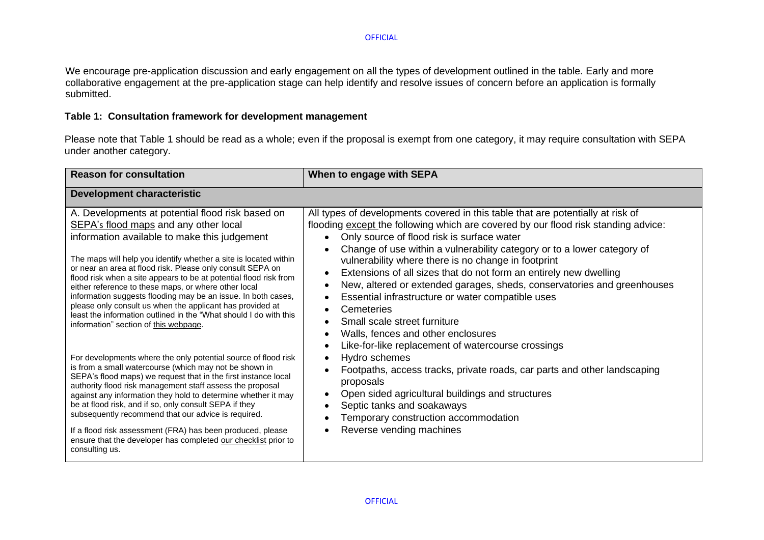We encourage pre-application discussion and early engagement on all the types of development outlined in the table. Early and more collaborative engagement at the pre-application stage can help identify and resolve issues of concern before an application is formally submitted.

### **Table 1: Consultation framework for development management**

Please note that Table 1 should be read as a whole; even if the proposal is exempt from one category, it may require consultation with SEPA under another category.

| <b>Reason for consultation</b>                                                                                                                                                                                                                                                                                                                                                                                                                                                                                                                                                                                                                       | When to engage with SEPA                                                                                                                                                                                                                                                                                                                                                                                                                                                                                                                                                                                                                                                                                                                                                                                     |
|------------------------------------------------------------------------------------------------------------------------------------------------------------------------------------------------------------------------------------------------------------------------------------------------------------------------------------------------------------------------------------------------------------------------------------------------------------------------------------------------------------------------------------------------------------------------------------------------------------------------------------------------------|--------------------------------------------------------------------------------------------------------------------------------------------------------------------------------------------------------------------------------------------------------------------------------------------------------------------------------------------------------------------------------------------------------------------------------------------------------------------------------------------------------------------------------------------------------------------------------------------------------------------------------------------------------------------------------------------------------------------------------------------------------------------------------------------------------------|
| <b>Development characteristic</b>                                                                                                                                                                                                                                                                                                                                                                                                                                                                                                                                                                                                                    |                                                                                                                                                                                                                                                                                                                                                                                                                                                                                                                                                                                                                                                                                                                                                                                                              |
| A. Developments at potential flood risk based on<br>SEPA's flood maps and any other local<br>information available to make this judgement<br>The maps will help you identify whether a site is located within<br>or near an area at flood risk. Please only consult SEPA on<br>flood risk when a site appears to be at potential flood risk from<br>either reference to these maps, or where other local<br>information suggests flooding may be an issue. In both cases,<br>please only consult us when the applicant has provided at<br>least the information outlined in the "What should I do with this<br>information" section of this webpage. | All types of developments covered in this table that are potentially at risk of<br>flooding except the following which are covered by our flood risk standing advice:<br>Only source of flood risk is surface water<br>$\bullet$<br>Change of use within a vulnerability category or to a lower category of<br>vulnerability where there is no change in footprint<br>Extensions of all sizes that do not form an entirely new dwelling<br>$\bullet$<br>New, altered or extended garages, sheds, conservatories and greenhouses<br>$\bullet$<br>Essential infrastructure or water compatible uses<br>$\bullet$<br>Cemeteries<br>$\bullet$<br>Small scale street furniture<br>$\bullet$<br>Walls, fences and other enclosures<br>$\bullet$<br>Like-for-like replacement of watercourse crossings<br>$\bullet$ |
| For developments where the only potential source of flood risk<br>is from a small watercourse (which may not be shown in<br>SEPA's flood maps) we request that in the first instance local<br>authority flood risk management staff assess the proposal<br>against any information they hold to determine whether it may<br>be at flood risk, and if so, only consult SEPA if they<br>subsequently recommend that our advice is required.<br>If a flood risk assessment (FRA) has been produced, please<br>ensure that the developer has completed our checklist prior to<br>consulting us.                                                          | Hydro schemes<br>$\bullet$<br>Footpaths, access tracks, private roads, car parts and other landscaping<br>$\bullet$<br>proposals<br>Open sided agricultural buildings and structures<br>$\bullet$<br>Septic tanks and soakaways<br>$\bullet$<br>Temporary construction accommodation<br>Reverse vending machines                                                                                                                                                                                                                                                                                                                                                                                                                                                                                             |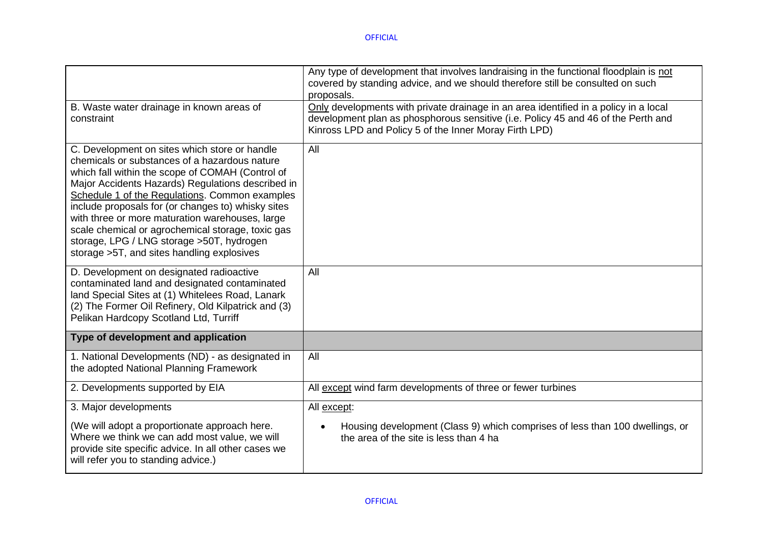|                                                                                                                                                                                                                                                                                                                                                                                                                                                                                                                     | Any type of development that involves landraising in the functional floodplain is not<br>covered by standing advice, and we should therefore still be consulted on such<br>proposals.                                               |
|---------------------------------------------------------------------------------------------------------------------------------------------------------------------------------------------------------------------------------------------------------------------------------------------------------------------------------------------------------------------------------------------------------------------------------------------------------------------------------------------------------------------|-------------------------------------------------------------------------------------------------------------------------------------------------------------------------------------------------------------------------------------|
| B. Waste water drainage in known areas of<br>constraint                                                                                                                                                                                                                                                                                                                                                                                                                                                             | Only developments with private drainage in an area identified in a policy in a local<br>development plan as phosphorous sensitive (i.e. Policy 45 and 46 of the Perth and<br>Kinross LPD and Policy 5 of the Inner Moray Firth LPD) |
| C. Development on sites which store or handle<br>chemicals or substances of a hazardous nature<br>which fall within the scope of COMAH (Control of<br>Major Accidents Hazards) Regulations described in<br>Schedule 1 of the Regulations. Common examples<br>include proposals for (or changes to) whisky sites<br>with three or more maturation warehouses, large<br>scale chemical or agrochemical storage, toxic gas<br>storage, LPG / LNG storage > 50T, hydrogen<br>storage >5T, and sites handling explosives | All                                                                                                                                                                                                                                 |
| D. Development on designated radioactive<br>contaminated land and designated contaminated<br>land Special Sites at (1) Whitelees Road, Lanark<br>(2) The Former Oil Refinery, Old Kilpatrick and (3)<br>Pelikan Hardcopy Scotland Ltd, Turriff                                                                                                                                                                                                                                                                      | All                                                                                                                                                                                                                                 |
| Type of development and application                                                                                                                                                                                                                                                                                                                                                                                                                                                                                 |                                                                                                                                                                                                                                     |
| 1. National Developments (ND) - as designated in<br>the adopted National Planning Framework                                                                                                                                                                                                                                                                                                                                                                                                                         | All                                                                                                                                                                                                                                 |
| 2. Developments supported by EIA                                                                                                                                                                                                                                                                                                                                                                                                                                                                                    | All except wind farm developments of three or fewer turbines                                                                                                                                                                        |
| 3. Major developments                                                                                                                                                                                                                                                                                                                                                                                                                                                                                               | All except:                                                                                                                                                                                                                         |
| (We will adopt a proportionate approach here.<br>Where we think we can add most value, we will<br>provide site specific advice. In all other cases we<br>will refer you to standing advice.)                                                                                                                                                                                                                                                                                                                        | Housing development (Class 9) which comprises of less than 100 dwellings, or<br>the area of the site is less than 4 ha                                                                                                              |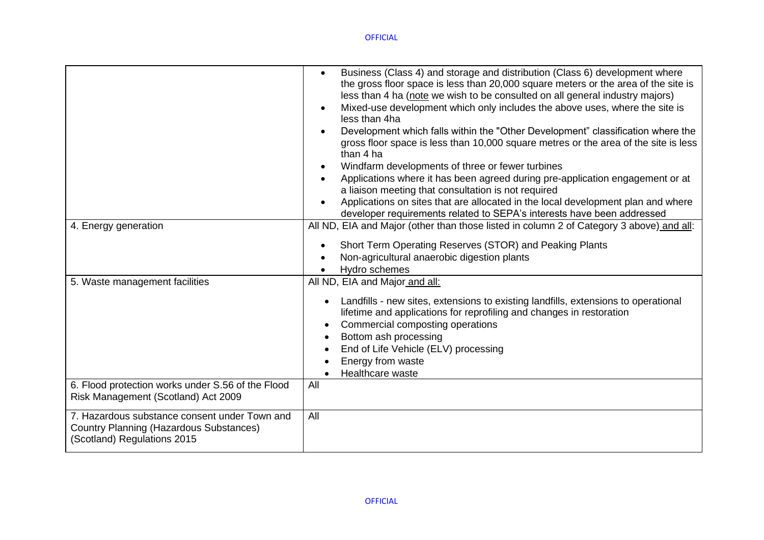|                                                                                                                         | Business (Class 4) and storage and distribution (Class 6) development where<br>the gross floor space is less than 20,000 square meters or the area of the site is<br>less than 4 ha (note we wish to be consulted on all general industry majors)<br>Mixed-use development which only includes the above uses, where the site is<br>less than 4ha<br>Development which falls within the "Other Development" classification where the<br>gross floor space is less than 10,000 square metres or the area of the site is less<br>than 4 ha<br>Windfarm developments of three or fewer turbines<br>Applications where it has been agreed during pre-application engagement or at<br>a liaison meeting that consultation is not required<br>Applications on sites that are allocated in the local development plan and where<br>developer requirements related to SEPA's interests have been addressed |
|-------------------------------------------------------------------------------------------------------------------------|----------------------------------------------------------------------------------------------------------------------------------------------------------------------------------------------------------------------------------------------------------------------------------------------------------------------------------------------------------------------------------------------------------------------------------------------------------------------------------------------------------------------------------------------------------------------------------------------------------------------------------------------------------------------------------------------------------------------------------------------------------------------------------------------------------------------------------------------------------------------------------------------------|
| 4. Energy generation                                                                                                    | All ND, EIA and Major (other than those listed in column 2 of Category 3 above) and all:<br>Short Term Operating Reserves (STOR) and Peaking Plants<br>Non-agricultural anaerobic digestion plants<br>Hydro schemes<br>$\bullet$                                                                                                                                                                                                                                                                                                                                                                                                                                                                                                                                                                                                                                                                   |
| 5. Waste management facilities                                                                                          | All ND, EIA and Major and all:<br>Landfills - new sites, extensions to existing landfills, extensions to operational<br>lifetime and applications for reprofiling and changes in restoration<br>Commercial composting operations<br>$\bullet$<br>Bottom ash processing<br>End of Life Vehicle (ELV) processing<br>Energy from waste<br>Healthcare waste                                                                                                                                                                                                                                                                                                                                                                                                                                                                                                                                            |
| 6. Flood protection works under S.56 of the Flood<br>Risk Management (Scotland) Act 2009                                | All                                                                                                                                                                                                                                                                                                                                                                                                                                                                                                                                                                                                                                                                                                                                                                                                                                                                                                |
| 7. Hazardous substance consent under Town and<br>Country Planning (Hazardous Substances)<br>(Scotland) Regulations 2015 | All                                                                                                                                                                                                                                                                                                                                                                                                                                                                                                                                                                                                                                                                                                                                                                                                                                                                                                |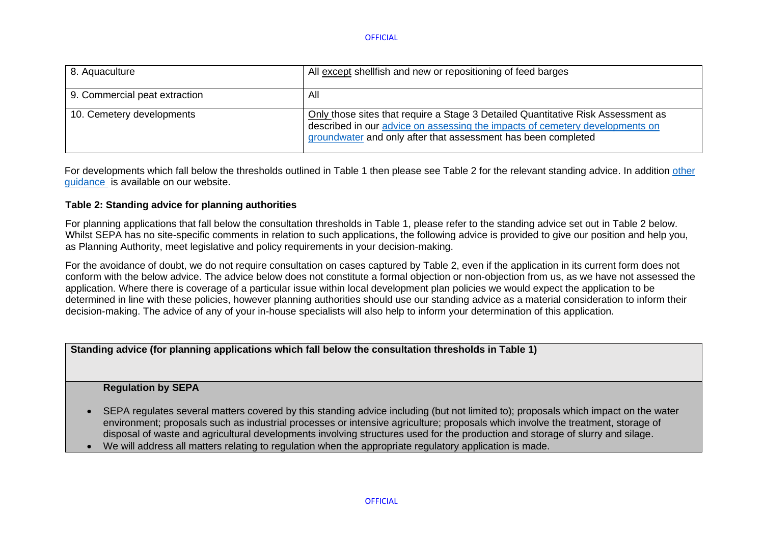| 8. Aquaculture                | All except shell fish and new or repositioning of feed barges                                                                                                                                                                     |
|-------------------------------|-----------------------------------------------------------------------------------------------------------------------------------------------------------------------------------------------------------------------------------|
| 9. Commercial peat extraction | All                                                                                                                                                                                                                               |
| 10. Cemetery developments     | Only those sites that require a Stage 3 Detailed Quantitative Risk Assessment as<br>described in our advice on assessing the impacts of cemetery developments on<br>groundwater and only after that assessment has been completed |

For developments which fall below the thresholds outlined in Table 1 then please see Table 2 for the relevant standing advice. In addition [other](https://www.sepa.org.uk/environment/land/planning/guidance-and-advice-notes/) [guidance](https://www.sepa.org.uk/environment/land/planning/guidance-and-advice-notes/) is available on our website.

### **Table 2: Standing advice for planning authorities**

For planning applications that fall below the consultation thresholds in Table 1, please refer to the standing advice set out in Table 2 below. Whilst SEPA has no site-specific comments in relation to such applications, the following advice is provided to give our position and help you, as Planning Authority, meet legislative and policy requirements in your decision-making.

For the avoidance of doubt, we do not require consultation on cases captured by Table 2, even if the application in its current form does not conform with the below advice. The advice below does not constitute a formal objection or non-objection from us, as we have not assessed the application. Where there is coverage of a particular issue within local development plan policies we would expect the application to be determined in line with these policies, however planning authorities should use our standing advice as a material consideration to inform their decision-making. The advice of any of your in-house specialists will also help to inform your determination of this application.

**Standing advice (for planning applications which fall below the consultation thresholds in Table 1)**

### **Regulation by SEPA**

- SEPA regulates several matters covered by this standing advice including (but not limited to); proposals which impact on the water environment; proposals such as industrial processes or intensive agriculture; proposals which involve the treatment, storage of disposal of waste and agricultural developments involving structures used for the production and storage of slurry and silage.
- We will address all matters relating to regulation when the appropriate regulatory application is made.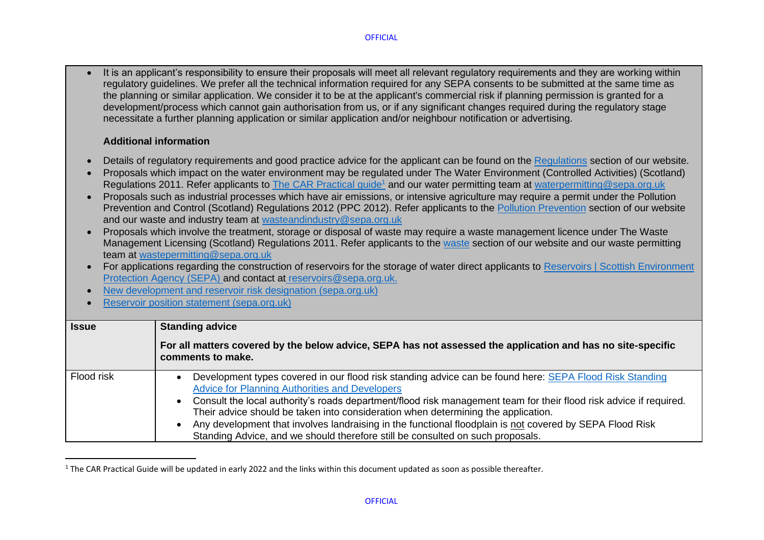• It is an applicant's responsibility to ensure their proposals will meet all relevant regulatory requirements and they are working within regulatory guidelines. We prefer all the technical information required for any SEPA consents to be submitted at the same time as the planning or similar application. We consider it to be at the applicant's commercial risk if planning permission is granted for a development/process which cannot gain authorisation from us, or if any significant changes required during the requlatory stage necessitate a further planning application or similar application and/or neighbour notification or advertising.

### **Additional information**

- Details of regulatory requirements and good practice advice for the applicant can be found on the [Regulations](https://www.sepa.org.uk/regulations/) section of our website.
- Proposals which impact on the water environment may be regulated under The Water Environment (Controlled Activities) (Scotland) Regulations 2011. Refer applicants to [The CAR Practical guide](https://www.sepa.org.uk/media/34761/car_a_practical_guide.pdf)<sup>1</sup> and our water permitting team at waterpermitting@sepa.org.uk
- Proposals such as industrial processes which have air emissions, or intensive agriculture may require a permit under the Pollution Prevention and Control (Scotland) Regulations 2012 (PPC 2012). Refer applicants to the [Pollution Prevention](https://www.sepa.org.uk/regulations/pollution-prevention-and-control/) section of our website and our waste and industry team at [wasteandindustry@sepa.org.uk](mailto:wasteandindustry@sepa.org.uk)
- Proposals which involve the treatment, storage or disposal of waste may require a waste management licence under The Waste Management Licensing (Scotland) Regulations 2011. Refer applicants to the [waste](https://www.sepa.org.uk/regulations/waste/) section of our website and our waste permitting team at [wastepermitting@sepa.org.uk](mailto:wastepermitting@sepa.org.uk)
- For applications regarding the construction of reservoirs for the storage of water direct applicants to Reservoirs | Scottish Environment [Protection Agency \(SEPA\)](https://www.sepa.org.uk/regulations/water/reservoirs/) and contact at [reservoirs@sepa.org.uk.](mailto:reservoirs@sepa.org.uk)
- [New development and reservoir risk designation \(sepa.org.uk\)](https://www.sepa.org.uk/media/450294/new_development_and_reservoir_risk_designation.pdf)
- [Reservoir position statement \(sepa.org.uk\)](https://www.sepa.org.uk/media/219585/reservoir-position-statement.pdf)

| <b>Issue</b> | <b>Standing advice</b><br>For all matters covered by the below advice, SEPA has not assessed the application and has no site-specific<br>comments to make.                                                                                                                                                                                                                                                                                                                                                                                                                |
|--------------|---------------------------------------------------------------------------------------------------------------------------------------------------------------------------------------------------------------------------------------------------------------------------------------------------------------------------------------------------------------------------------------------------------------------------------------------------------------------------------------------------------------------------------------------------------------------------|
| Flood risk   | Development types covered in our flood risk standing advice can be found here: SEPA Flood Risk Standing<br><b>Advice for Planning Authorities and Developers</b><br>Consult the local authority's roads department/flood risk management team for their flood risk advice if required.<br>Their advice should be taken into consideration when determining the application.<br>Any development that involves landraising in the functional floodplain is not covered by SEPA Flood Risk<br>Standing Advice, and we should therefore still be consulted on such proposals. |

 $1$  The CAR Practical Guide will be updated in early 2022 and the links within this document updated as soon as possible thereafter.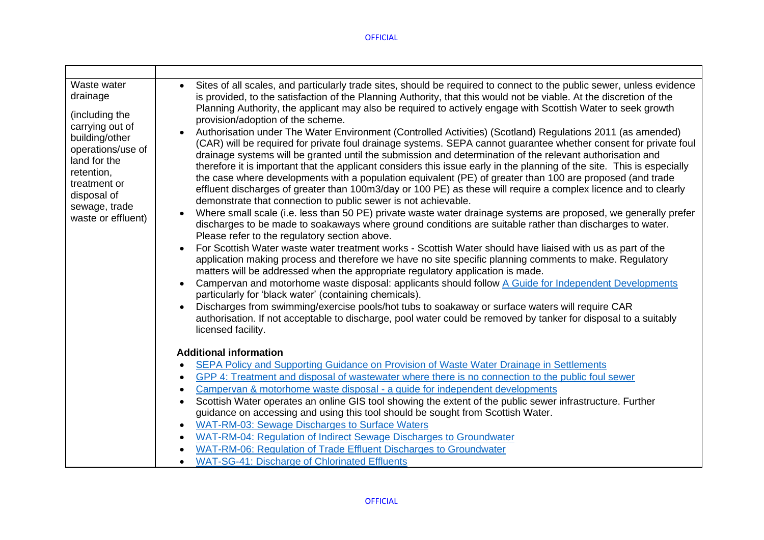| Waste water<br>drainage<br>(including the<br>carrying out of<br>building/other<br>operations/use of<br>land for the<br>retention,<br>treatment or<br>disposal of<br>sewage, trade<br>waste or effluent) | Sites of all scales, and particularly trade sites, should be required to connect to the public sewer, unless evidence<br>is provided, to the satisfaction of the Planning Authority, that this would not be viable. At the discretion of the<br>Planning Authority, the applicant may also be required to actively engage with Scottish Water to seek growth<br>provision/adoption of the scheme.<br>Authorisation under The Water Environment (Controlled Activities) (Scotland) Regulations 2011 (as amended)<br>(CAR) will be required for private foul drainage systems. SEPA cannot guarantee whether consent for private foul<br>drainage systems will be granted until the submission and determination of the relevant authorisation and<br>therefore it is important that the applicant considers this issue early in the planning of the site. This is especially<br>the case where developments with a population equivalent (PE) of greater than 100 are proposed (and trade<br>effluent discharges of greater than 100m3/day or 100 PE) as these will require a complex licence and to clearly<br>demonstrate that connection to public sewer is not achievable.<br>Where small scale (i.e. less than 50 PE) private waste water drainage systems are proposed, we generally prefer<br>$\bullet$<br>discharges to be made to soakaways where ground conditions are suitable rather than discharges to water.<br>Please refer to the regulatory section above.<br>For Scottish Water waste water treatment works - Scottish Water should have liaised with us as part of the<br>application making process and therefore we have no site specific planning comments to make. Regulatory<br>matters will be addressed when the appropriate regulatory application is made.<br>Campervan and motorhome waste disposal: applicants should follow A Guide for Independent Developments<br>$\bullet$<br>particularly for 'black water' (containing chemicals).<br>Discharges from swimming/exercise pools/hot tubs to soakaway or surface waters will require CAR<br>authorisation. If not acceptable to discharge, pool water could be removed by tanker for disposal to a suitably<br>licensed facility. |
|---------------------------------------------------------------------------------------------------------------------------------------------------------------------------------------------------------|-------------------------------------------------------------------------------------------------------------------------------------------------------------------------------------------------------------------------------------------------------------------------------------------------------------------------------------------------------------------------------------------------------------------------------------------------------------------------------------------------------------------------------------------------------------------------------------------------------------------------------------------------------------------------------------------------------------------------------------------------------------------------------------------------------------------------------------------------------------------------------------------------------------------------------------------------------------------------------------------------------------------------------------------------------------------------------------------------------------------------------------------------------------------------------------------------------------------------------------------------------------------------------------------------------------------------------------------------------------------------------------------------------------------------------------------------------------------------------------------------------------------------------------------------------------------------------------------------------------------------------------------------------------------------------------------------------------------------------------------------------------------------------------------------------------------------------------------------------------------------------------------------------------------------------------------------------------------------------------------------------------------------------------------------------------------------------------------------------------------------------------------------------------------------------------------------------------------|
|                                                                                                                                                                                                         | <b>Additional information</b>                                                                                                                                                                                                                                                                                                                                                                                                                                                                                                                                                                                                                                                                                                                                                                                                                                                                                                                                                                                                                                                                                                                                                                                                                                                                                                                                                                                                                                                                                                                                                                                                                                                                                                                                                                                                                                                                                                                                                                                                                                                                                                                                                                                     |
|                                                                                                                                                                                                         | SEPA Policy and Supporting Guidance on Provision of Waste Water Drainage in Settlements                                                                                                                                                                                                                                                                                                                                                                                                                                                                                                                                                                                                                                                                                                                                                                                                                                                                                                                                                                                                                                                                                                                                                                                                                                                                                                                                                                                                                                                                                                                                                                                                                                                                                                                                                                                                                                                                                                                                                                                                                                                                                                                           |
|                                                                                                                                                                                                         | GPP 4: Treatment and disposal of wastewater where there is no connection to the public foul sewer<br>$\bullet$<br>Campervan & motorhome waste disposal - a quide for independent developments<br>$\bullet$                                                                                                                                                                                                                                                                                                                                                                                                                                                                                                                                                                                                                                                                                                                                                                                                                                                                                                                                                                                                                                                                                                                                                                                                                                                                                                                                                                                                                                                                                                                                                                                                                                                                                                                                                                                                                                                                                                                                                                                                        |
|                                                                                                                                                                                                         | Scottish Water operates an online GIS tool showing the extent of the public sewer infrastructure. Further<br>$\bullet$                                                                                                                                                                                                                                                                                                                                                                                                                                                                                                                                                                                                                                                                                                                                                                                                                                                                                                                                                                                                                                                                                                                                                                                                                                                                                                                                                                                                                                                                                                                                                                                                                                                                                                                                                                                                                                                                                                                                                                                                                                                                                            |
|                                                                                                                                                                                                         | guidance on accessing and using this tool should be sought from Scottish Water.                                                                                                                                                                                                                                                                                                                                                                                                                                                                                                                                                                                                                                                                                                                                                                                                                                                                                                                                                                                                                                                                                                                                                                                                                                                                                                                                                                                                                                                                                                                                                                                                                                                                                                                                                                                                                                                                                                                                                                                                                                                                                                                                   |
|                                                                                                                                                                                                         | WAT-RM-03: Sewage Discharges to Surface Waters<br>$\bullet$                                                                                                                                                                                                                                                                                                                                                                                                                                                                                                                                                                                                                                                                                                                                                                                                                                                                                                                                                                                                                                                                                                                                                                                                                                                                                                                                                                                                                                                                                                                                                                                                                                                                                                                                                                                                                                                                                                                                                                                                                                                                                                                                                       |
|                                                                                                                                                                                                         | WAT-RM-04: Regulation of Indirect Sewage Discharges to Groundwater<br>$\bullet$                                                                                                                                                                                                                                                                                                                                                                                                                                                                                                                                                                                                                                                                                                                                                                                                                                                                                                                                                                                                                                                                                                                                                                                                                                                                                                                                                                                                                                                                                                                                                                                                                                                                                                                                                                                                                                                                                                                                                                                                                                                                                                                                   |
|                                                                                                                                                                                                         | WAT-RM-06: Regulation of Trade Effluent Discharges to Groundwater                                                                                                                                                                                                                                                                                                                                                                                                                                                                                                                                                                                                                                                                                                                                                                                                                                                                                                                                                                                                                                                                                                                                                                                                                                                                                                                                                                                                                                                                                                                                                                                                                                                                                                                                                                                                                                                                                                                                                                                                                                                                                                                                                 |
|                                                                                                                                                                                                         | <b>WAT-SG-41: Discharge of Chlorinated Effluents</b>                                                                                                                                                                                                                                                                                                                                                                                                                                                                                                                                                                                                                                                                                                                                                                                                                                                                                                                                                                                                                                                                                                                                                                                                                                                                                                                                                                                                                                                                                                                                                                                                                                                                                                                                                                                                                                                                                                                                                                                                                                                                                                                                                              |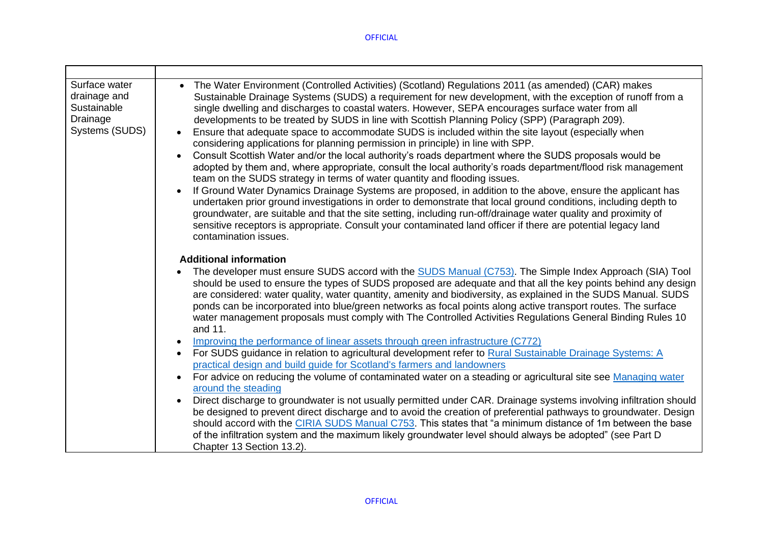| Surface water<br>drainage and<br>Sustainable<br>Drainage<br>Systems (SUDS) | • The Water Environment (Controlled Activities) (Scotland) Regulations 2011 (as amended) (CAR) makes<br>Sustainable Drainage Systems (SUDS) a requirement for new development, with the exception of runoff from a<br>single dwelling and discharges to coastal waters. However, SEPA encourages surface water from all<br>developments to be treated by SUDS in line with Scottish Planning Policy (SPP) (Paragraph 209).<br>Ensure that adequate space to accommodate SUDS is included within the site layout (especially when<br>$\bullet$<br>considering applications for planning permission in principle) in line with SPP.<br>Consult Scottish Water and/or the local authority's roads department where the SUDS proposals would be<br>adopted by them and, where appropriate, consult the local authority's roads department/flood risk management<br>team on the SUDS strategy in terms of water quantity and flooding issues.<br>If Ground Water Dynamics Drainage Systems are proposed, in addition to the above, ensure the applicant has<br>$\bullet$<br>undertaken prior ground investigations in order to demonstrate that local ground conditions, including depth to<br>groundwater, are suitable and that the site setting, including run-off/drainage water quality and proximity of<br>sensitive receptors is appropriate. Consult your contaminated land officer if there are potential legacy land<br>contamination issues.                                                                                                                               |
|----------------------------------------------------------------------------|----------------------------------------------------------------------------------------------------------------------------------------------------------------------------------------------------------------------------------------------------------------------------------------------------------------------------------------------------------------------------------------------------------------------------------------------------------------------------------------------------------------------------------------------------------------------------------------------------------------------------------------------------------------------------------------------------------------------------------------------------------------------------------------------------------------------------------------------------------------------------------------------------------------------------------------------------------------------------------------------------------------------------------------------------------------------------------------------------------------------------------------------------------------------------------------------------------------------------------------------------------------------------------------------------------------------------------------------------------------------------------------------------------------------------------------------------------------------------------------------------------------------------------------------------------------------------------|
|                                                                            | <b>Additional information</b><br>The developer must ensure SUDS accord with the SUDS Manual (C753). The Simple Index Approach (SIA) Tool<br>should be used to ensure the types of SUDS proposed are adequate and that all the key points behind any design<br>are considered: water quality, water quantity, amenity and biodiversity, as explained in the SUDS Manual. SUDS<br>ponds can be incorporated into blue/green networks as focal points along active transport routes. The surface<br>water management proposals must comply with The Controlled Activities Regulations General Binding Rules 10<br>and 11.<br>Improving the performance of linear assets through green infrastructure (C772)<br>For SUDS guidance in relation to agricultural development refer to Rural Sustainable Drainage Systems: A<br>$\bullet$<br>practical design and build guide for Scotland's farmers and landowners<br>For advice on reducing the volume of contaminated water on a steading or agricultural site see Managing water<br>$\bullet$<br>around the steading<br>Direct discharge to groundwater is not usually permitted under CAR. Drainage systems involving infiltration should<br>$\bullet$<br>be designed to prevent direct discharge and to avoid the creation of preferential pathways to groundwater. Design<br>should accord with the CIRIA SUDS Manual C753. This states that "a minimum distance of 1m between the base<br>of the infiltration system and the maximum likely groundwater level should always be adopted" (see Part D<br>Chapter 13 Section 13.2). |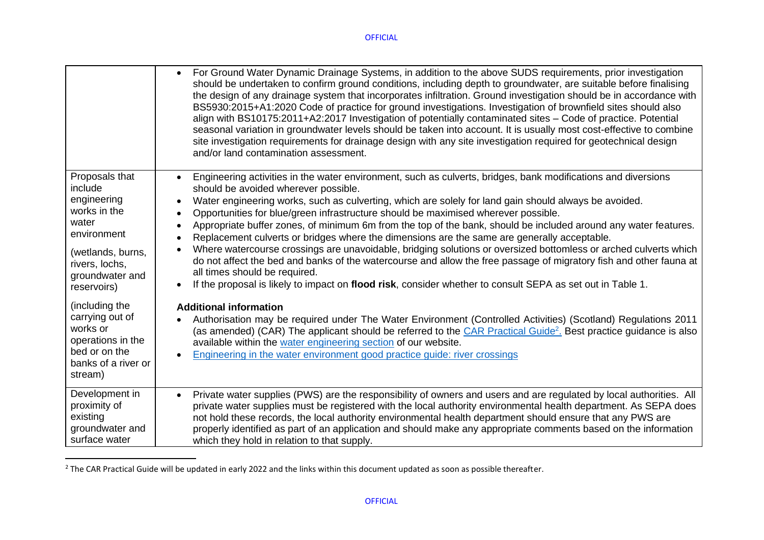|                                                                                                                                                           | For Ground Water Dynamic Drainage Systems, in addition to the above SUDS requirements, prior investigation<br>$\bullet$<br>should be undertaken to confirm ground conditions, including depth to groundwater, are suitable before finalising<br>the design of any drainage system that incorporates infiltration. Ground investigation should be in accordance with<br>BS5930:2015+A1:2020 Code of practice for ground investigations. Investigation of brownfield sites should also<br>align with BS10175:2011+A2:2017 Investigation of potentially contaminated sites – Code of practice. Potential<br>seasonal variation in groundwater levels should be taken into account. It is usually most cost-effective to combine<br>site investigation requirements for drainage design with any site investigation required for geotechnical design<br>and/or land contamination assessment.                                                                                    |
|-----------------------------------------------------------------------------------------------------------------------------------------------------------|------------------------------------------------------------------------------------------------------------------------------------------------------------------------------------------------------------------------------------------------------------------------------------------------------------------------------------------------------------------------------------------------------------------------------------------------------------------------------------------------------------------------------------------------------------------------------------------------------------------------------------------------------------------------------------------------------------------------------------------------------------------------------------------------------------------------------------------------------------------------------------------------------------------------------------------------------------------------------|
| Proposals that<br>include<br>engineering<br>works in the<br>water<br>environment<br>(wetlands, burns,<br>rivers, lochs,<br>groundwater and<br>reservoirs) | Engineering activities in the water environment, such as culverts, bridges, bank modifications and diversions<br>should be avoided wherever possible.<br>Water engineering works, such as culverting, which are solely for land gain should always be avoided.<br>Opportunities for blue/green infrastructure should be maximised wherever possible.<br>$\bullet$<br>Appropriate buffer zones, of minimum 6m from the top of the bank, should be included around any water features.<br>Replacement culverts or bridges where the dimensions are the same are generally acceptable.<br>Where watercourse crossings are unavoidable, bridging solutions or oversized bottomless or arched culverts which<br>do not affect the bed and banks of the watercourse and allow the free passage of migratory fish and other fauna at<br>all times should be required.<br>If the proposal is likely to impact on flood risk, consider whether to consult SEPA as set out in Table 1. |
| (including the<br>carrying out of<br>works or<br>operations in the<br>bed or on the<br>banks of a river or<br>stream)                                     | <b>Additional information</b><br>Authorisation may be required under The Water Environment (Controlled Activities) (Scotland) Regulations 2011<br>$\bullet$<br>(as amended) (CAR) The applicant should be referred to the CAR Practical Guide <sup>2</sup> . Best practice guidance is also<br>available within the water engineering section of our website.<br>Engineering in the water environment good practice guide: river crossings                                                                                                                                                                                                                                                                                                                                                                                                                                                                                                                                   |
| Development in<br>proximity of<br>existing<br>groundwater and<br>surface water                                                                            | Private water supplies (PWS) are the responsibility of owners and users and are regulated by local authorities. All<br>$\bullet$<br>private water supplies must be registered with the local authority environmental health department. As SEPA does<br>not hold these records, the local authority environmental health department should ensure that any PWS are<br>properly identified as part of an application and should make any appropriate comments based on the information<br>which they hold in relation to that supply.                                                                                                                                                                                                                                                                                                                                                                                                                                         |

 $^{2}$  The CAR Practical Guide will be updated in early 2022 and the links within this document updated as soon as possible thereafter.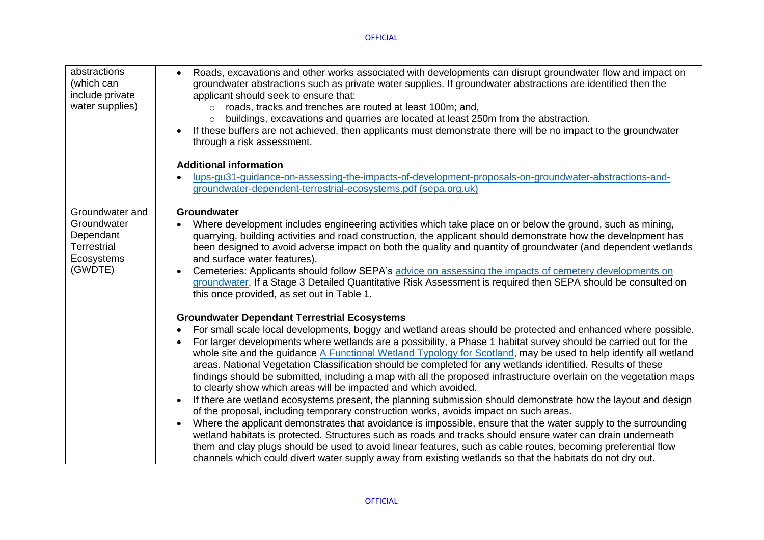| abstractions<br>(which can<br>include private<br>water supplies)        | Roads, excavations and other works associated with developments can disrupt groundwater flow and impact on<br>$\bullet$<br>groundwater abstractions such as private water supplies. If groundwater abstractions are identified then the<br>applicant should seek to ensure that:<br>roads, tracks and trenches are routed at least 100m; and,<br>$\Omega$<br>buildings, excavations and quarries are located at least 250m from the abstraction.<br>$\circ$<br>If these buffers are not achieved, then applicants must demonstrate there will be no impact to the groundwater<br>$\bullet$<br>through a risk assessment.<br><b>Additional information</b><br>lups-gu31-guidance-on-assessing-the-impacts-of-development-proposals-on-groundwater-abstractions-and-<br>groundwater-dependent-terrestrial-ecosystems.pdf (sepa.org.uk) |
|-------------------------------------------------------------------------|--------------------------------------------------------------------------------------------------------------------------------------------------------------------------------------------------------------------------------------------------------------------------------------------------------------------------------------------------------------------------------------------------------------------------------------------------------------------------------------------------------------------------------------------------------------------------------------------------------------------------------------------------------------------------------------------------------------------------------------------------------------------------------------------------------------------------------------|
| Groundwater and                                                         | Groundwater                                                                                                                                                                                                                                                                                                                                                                                                                                                                                                                                                                                                                                                                                                                                                                                                                          |
| Groundwater<br>Dependant<br><b>Terrestrial</b><br>Ecosystems<br>(GWDTE) | Where development includes engineering activities which take place on or below the ground, such as mining,<br>$\bullet$<br>quarrying, building activities and road construction, the applicant should demonstrate how the development has<br>been designed to avoid adverse impact on both the quality and quantity of groundwater (and dependent wetlands<br>and surface water features).<br>Cemeteries: Applicants should follow SEPA's advice on assessing the impacts of cemetery developments on<br>$\bullet$<br>groundwater. If a Stage 3 Detailed Quantitative Risk Assessment is required then SEPA should be consulted on<br>this once provided, as set out in Table 1.                                                                                                                                                     |
|                                                                         | <b>Groundwater Dependant Terrestrial Ecosystems</b>                                                                                                                                                                                                                                                                                                                                                                                                                                                                                                                                                                                                                                                                                                                                                                                  |
|                                                                         | For small scale local developments, boggy and wetland areas should be protected and enhanced where possible.<br>$\bullet$<br>For larger developments where wetlands are a possibility, a Phase 1 habitat survey should be carried out for the<br>whole site and the guidance A Functional Wetland Typology for Scotland, may be used to help identify all wetland<br>areas. National Vegetation Classification should be completed for any wetlands identified. Results of these<br>findings should be submitted, including a map with all the proposed infrastructure overlain on the vegetation maps<br>to clearly show which areas will be impacted and which avoided.                                                                                                                                                            |
|                                                                         | If there are wetland ecosystems present, the planning submission should demonstrate how the layout and design<br>$\bullet$<br>of the proposal, including temporary construction works, avoids impact on such areas.                                                                                                                                                                                                                                                                                                                                                                                                                                                                                                                                                                                                                  |
|                                                                         | Where the applicant demonstrates that avoidance is impossible, ensure that the water supply to the surrounding<br>wetland habitats is protected. Structures such as roads and tracks should ensure water can drain underneath<br>them and clay plugs should be used to avoid linear features, such as cable routes, becoming preferential flow<br>channels which could divert water supply away from existing wetlands so that the habitats do not dry out.                                                                                                                                                                                                                                                                                                                                                                          |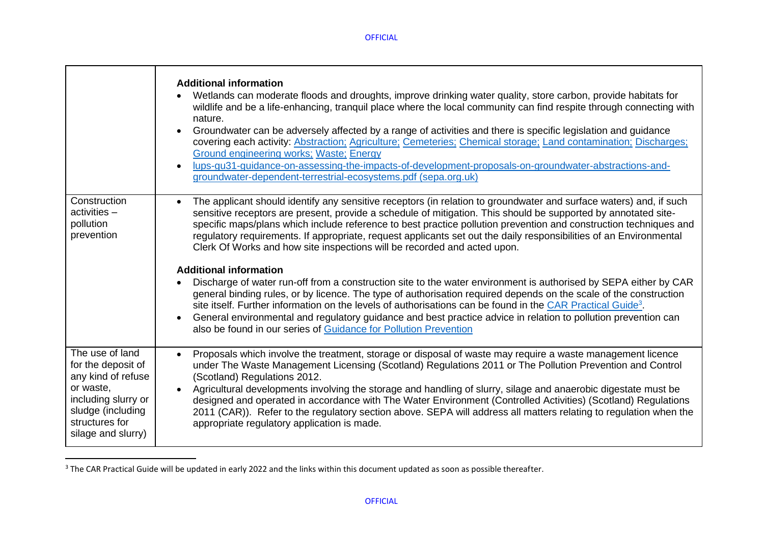h

 $\Gamma$ 

┯

|                                                                                                                                                              | <b>Additional information</b><br>Wetlands can moderate floods and droughts, improve drinking water quality, store carbon, provide habitats for<br>wildlife and be a life-enhancing, tranquil place where the local community can find respite through connecting with<br>nature.<br>Groundwater can be adversely affected by a range of activities and there is specific legislation and guidance<br>covering each activity: Abstraction; Agriculture; Cemeteries; Chemical storage; Land contamination; Discharges;<br><b>Ground engineering works; Waste; Energy</b><br>lups-gu31-guidance-on-assessing-the-impacts-of-development-proposals-on-groundwater-abstractions-and-<br>groundwater-dependent-terrestrial-ecosystems.pdf (sepa.org.uk)                                                                                                                                                                                                                                                                                                                                                                                                      |
|--------------------------------------------------------------------------------------------------------------------------------------------------------------|--------------------------------------------------------------------------------------------------------------------------------------------------------------------------------------------------------------------------------------------------------------------------------------------------------------------------------------------------------------------------------------------------------------------------------------------------------------------------------------------------------------------------------------------------------------------------------------------------------------------------------------------------------------------------------------------------------------------------------------------------------------------------------------------------------------------------------------------------------------------------------------------------------------------------------------------------------------------------------------------------------------------------------------------------------------------------------------------------------------------------------------------------------|
| Construction<br>$activities -$<br>pollution<br>prevention                                                                                                    | The applicant should identify any sensitive receptors (in relation to groundwater and surface waters) and, if such<br>sensitive receptors are present, provide a schedule of mitigation. This should be supported by annotated site-<br>specific maps/plans which include reference to best practice pollution prevention and construction techniques and<br>regulatory requirements. If appropriate, request applicants set out the daily responsibilities of an Environmental<br>Clerk Of Works and how site inspections will be recorded and acted upon.<br><b>Additional information</b><br>Discharge of water run-off from a construction site to the water environment is authorised by SEPA either by CAR<br>general binding rules, or by licence. The type of authorisation required depends on the scale of the construction<br>site itself. Further information on the levels of authorisations can be found in the CAR Practical Guide <sup>3</sup> .<br>General environmental and regulatory guidance and best practice advice in relation to pollution prevention can<br>also be found in our series of Guidance for Pollution Prevention |
| The use of land<br>for the deposit of<br>any kind of refuse<br>or waste,<br>including slurry or<br>sludge (including<br>structures for<br>silage and slurry) | Proposals which involve the treatment, storage or disposal of waste may require a waste management licence<br>$\bullet$<br>under The Waste Management Licensing (Scotland) Regulations 2011 or The Pollution Prevention and Control<br>(Scotland) Regulations 2012.<br>Agricultural developments involving the storage and handling of slurry, silage and anaerobic digestate must be<br>designed and operated in accordance with The Water Environment (Controlled Activities) (Scotland) Regulations<br>2011 (CAR)). Refer to the regulatory section above. SEPA will address all matters relating to regulation when the<br>appropriate regulatory application is made.                                                                                                                                                                                                                                                                                                                                                                                                                                                                             |

<sup>&</sup>lt;sup>3</sup> The CAR Practical Guide will be updated in early 2022 and the links within this document updated as soon as possible thereafter.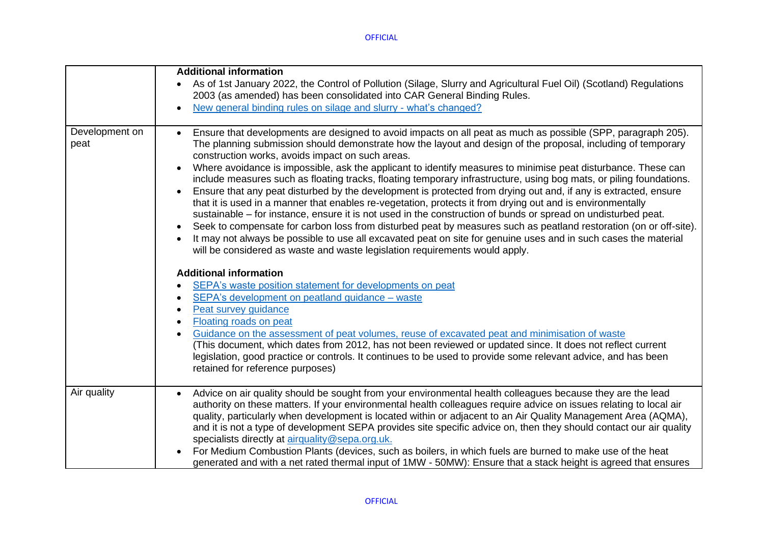|                        | <b>Additional information</b>                                                                                                                                                                                                                                                                                                                                                                                                                                                                                                                                                                                                                                                                                                                                                                                                                                                                                                                                                                                                                                                                                                                                                                                                                                                                                                                                                                                                                                                                                                                                                                                                                                                                                                                                                                                                  |
|------------------------|--------------------------------------------------------------------------------------------------------------------------------------------------------------------------------------------------------------------------------------------------------------------------------------------------------------------------------------------------------------------------------------------------------------------------------------------------------------------------------------------------------------------------------------------------------------------------------------------------------------------------------------------------------------------------------------------------------------------------------------------------------------------------------------------------------------------------------------------------------------------------------------------------------------------------------------------------------------------------------------------------------------------------------------------------------------------------------------------------------------------------------------------------------------------------------------------------------------------------------------------------------------------------------------------------------------------------------------------------------------------------------------------------------------------------------------------------------------------------------------------------------------------------------------------------------------------------------------------------------------------------------------------------------------------------------------------------------------------------------------------------------------------------------------------------------------------------------|
|                        | As of 1st January 2022, the Control of Pollution (Silage, Slurry and Agricultural Fuel Oil) (Scotland) Regulations<br>2003 (as amended) has been consolidated into CAR General Binding Rules.                                                                                                                                                                                                                                                                                                                                                                                                                                                                                                                                                                                                                                                                                                                                                                                                                                                                                                                                                                                                                                                                                                                                                                                                                                                                                                                                                                                                                                                                                                                                                                                                                                  |
|                        | New general binding rules on silage and slurry - what's changed?                                                                                                                                                                                                                                                                                                                                                                                                                                                                                                                                                                                                                                                                                                                                                                                                                                                                                                                                                                                                                                                                                                                                                                                                                                                                                                                                                                                                                                                                                                                                                                                                                                                                                                                                                               |
| Development on<br>peat | Ensure that developments are designed to avoid impacts on all peat as much as possible (SPP, paragraph 205).<br>$\bullet$<br>The planning submission should demonstrate how the layout and design of the proposal, including of temporary<br>construction works, avoids impact on such areas.<br>Where avoidance is impossible, ask the applicant to identify measures to minimise peat disturbance. These can<br>include measures such as floating tracks, floating temporary infrastructure, using bog mats, or piling foundations.<br>Ensure that any peat disturbed by the development is protected from drying out and, if any is extracted, ensure<br>$\bullet$<br>that it is used in a manner that enables re-vegetation, protects it from drying out and is environmentally<br>sustainable – for instance, ensure it is not used in the construction of bunds or spread on undisturbed peat.<br>Seek to compensate for carbon loss from disturbed peat by measures such as peatland restoration (on or off-site).<br>It may not always be possible to use all excavated peat on site for genuine uses and in such cases the material<br>will be considered as waste and waste legislation requirements would apply.<br><b>Additional information</b><br>SEPA's waste position statement for developments on peat<br>$\bullet$<br>SEPA's development on peatland guidance - waste<br>$\bullet$<br>Peat survey guidance<br>$\bullet$<br>Floating roads on peat<br>$\bullet$<br>Guidance on the assessment of peat volumes, reuse of excavated peat and minimisation of waste<br>$\bullet$<br>(This document, which dates from 2012, has not been reviewed or updated since. It does not reflect current<br>legislation, good practice or controls. It continues to be used to provide some relevant advice, and has been |
|                        | retained for reference purposes)                                                                                                                                                                                                                                                                                                                                                                                                                                                                                                                                                                                                                                                                                                                                                                                                                                                                                                                                                                                                                                                                                                                                                                                                                                                                                                                                                                                                                                                                                                                                                                                                                                                                                                                                                                                               |
| Air quality            | Advice on air quality should be sought from your environmental health colleagues because they are the lead<br>$\bullet$<br>authority on these matters. If your environmental health colleagues require advice on issues relating to local air<br>quality, particularly when development is located within or adjacent to an Air Quality Management Area (AQMA),<br>and it is not a type of development SEPA provides site specific advice on, then they should contact our air quality<br>specialists directly at airquality@sepa.org.uk.<br>For Medium Combustion Plants (devices, such as boilers, in which fuels are burned to make use of the heat<br>generated and with a net rated thermal input of 1MW - 50MW): Ensure that a stack height is agreed that ensures                                                                                                                                                                                                                                                                                                                                                                                                                                                                                                                                                                                                                                                                                                                                                                                                                                                                                                                                                                                                                                                       |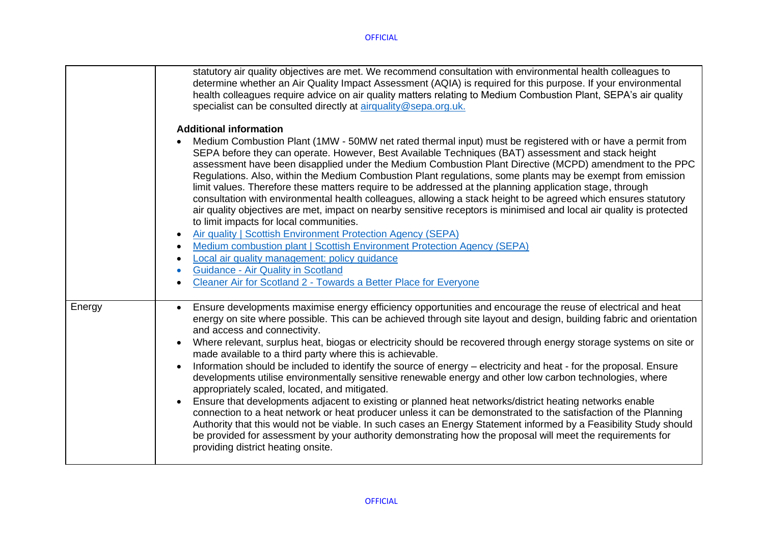|        | statutory air quality objectives are met. We recommend consultation with environmental health colleagues to<br>determine whether an Air Quality Impact Assessment (AQIA) is required for this purpose. If your environmental<br>health colleagues require advice on air quality matters relating to Medium Combustion Plant, SEPA's air quality<br>specialist can be consulted directly at airquality@sepa.org.uk.<br><b>Additional information</b><br>Medium Combustion Plant (1MW - 50MW net rated thermal input) must be registered with or have a permit from<br>SEPA before they can operate. However, Best Available Techniques (BAT) assessment and stack height<br>assessment have been disapplied under the Medium Combustion Plant Directive (MCPD) amendment to the PPC<br>Regulations. Also, within the Medium Combustion Plant regulations, some plants may be exempt from emission<br>limit values. Therefore these matters require to be addressed at the planning application stage, through<br>consultation with environmental health colleagues, allowing a stack height to be agreed which ensures statutory<br>air quality objectives are met, impact on nearby sensitive receptors is minimised and local air quality is protected<br>to limit impacts for local communities.<br>Air quality   Scottish Environment Protection Agency (SEPA)<br>$\bullet$ |
|--------|--------------------------------------------------------------------------------------------------------------------------------------------------------------------------------------------------------------------------------------------------------------------------------------------------------------------------------------------------------------------------------------------------------------------------------------------------------------------------------------------------------------------------------------------------------------------------------------------------------------------------------------------------------------------------------------------------------------------------------------------------------------------------------------------------------------------------------------------------------------------------------------------------------------------------------------------------------------------------------------------------------------------------------------------------------------------------------------------------------------------------------------------------------------------------------------------------------------------------------------------------------------------------------------------------------------------------------------------------------------------------------|
|        | Medium combustion plant   Scottish Environment Protection Agency (SEPA)<br>$\bullet$                                                                                                                                                                                                                                                                                                                                                                                                                                                                                                                                                                                                                                                                                                                                                                                                                                                                                                                                                                                                                                                                                                                                                                                                                                                                                           |
|        | Local air quality management: policy quidance<br>$\bullet$                                                                                                                                                                                                                                                                                                                                                                                                                                                                                                                                                                                                                                                                                                                                                                                                                                                                                                                                                                                                                                                                                                                                                                                                                                                                                                                     |
|        | <b>Guidance - Air Quality in Scotland</b><br>$\bullet$                                                                                                                                                                                                                                                                                                                                                                                                                                                                                                                                                                                                                                                                                                                                                                                                                                                                                                                                                                                                                                                                                                                                                                                                                                                                                                                         |
|        | Cleaner Air for Scotland 2 - Towards a Better Place for Everyone<br>$\bullet$                                                                                                                                                                                                                                                                                                                                                                                                                                                                                                                                                                                                                                                                                                                                                                                                                                                                                                                                                                                                                                                                                                                                                                                                                                                                                                  |
| Energy | Ensure developments maximise energy efficiency opportunities and encourage the reuse of electrical and heat<br>$\bullet$<br>energy on site where possible. This can be achieved through site layout and design, building fabric and orientation<br>and access and connectivity.<br>Where relevant, surplus heat, biogas or electricity should be recovered through energy storage systems on site or<br>$\bullet$<br>made available to a third party where this is achievable.<br>Information should be included to identify the source of energy – electricity and heat - for the proposal. Ensure<br>$\bullet$                                                                                                                                                                                                                                                                                                                                                                                                                                                                                                                                                                                                                                                                                                                                                               |
|        | developments utilise environmentally sensitive renewable energy and other low carbon technologies, where<br>appropriately scaled, located, and mitigated.                                                                                                                                                                                                                                                                                                                                                                                                                                                                                                                                                                                                                                                                                                                                                                                                                                                                                                                                                                                                                                                                                                                                                                                                                      |
|        | Ensure that developments adjacent to existing or planned heat networks/district heating networks enable<br>$\bullet$<br>connection to a heat network or heat producer unless it can be demonstrated to the satisfaction of the Planning<br>Authority that this would not be viable. In such cases an Energy Statement informed by a Feasibility Study should<br>be provided for assessment by your authority demonstrating how the proposal will meet the requirements for<br>providing district heating onsite.                                                                                                                                                                                                                                                                                                                                                                                                                                                                                                                                                                                                                                                                                                                                                                                                                                                               |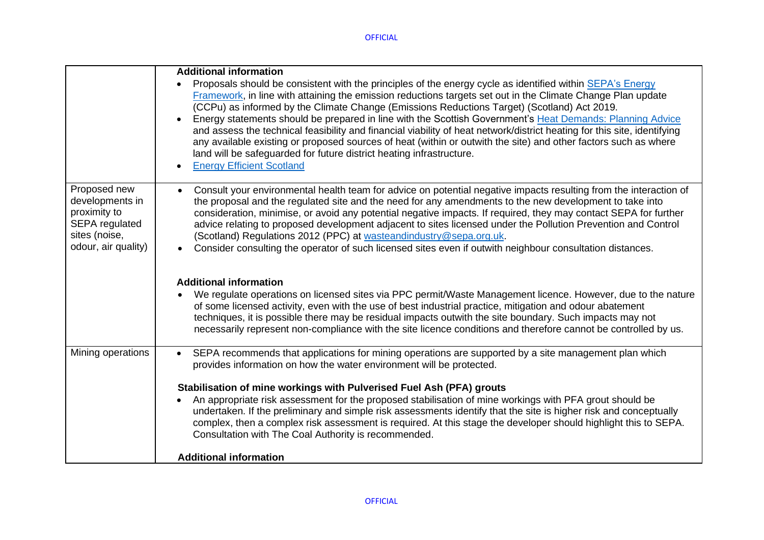|                                                                                                                  | <b>Additional information</b><br>Proposals should be consistent with the principles of the energy cycle as identified within SEPA's Energy<br>Framework, in line with attaining the emission reductions targets set out in the Climate Change Plan update<br>(CCPu) as informed by the Climate Change (Emissions Reductions Target) (Scotland) Act 2019.<br>Energy statements should be prepared in line with the Scottish Government's Heat Demands: Planning Advice<br>and assess the technical feasibility and financial viability of heat network/district heating for this site, identifying<br>any available existing or proposed sources of heat (within or outwith the site) and other factors such as where<br>land will be safeguarded for future district heating infrastructure.<br><b>Energy Efficient Scotland</b> |
|------------------------------------------------------------------------------------------------------------------|----------------------------------------------------------------------------------------------------------------------------------------------------------------------------------------------------------------------------------------------------------------------------------------------------------------------------------------------------------------------------------------------------------------------------------------------------------------------------------------------------------------------------------------------------------------------------------------------------------------------------------------------------------------------------------------------------------------------------------------------------------------------------------------------------------------------------------|
| Proposed new<br>developments in<br>proximity to<br><b>SEPA</b> regulated<br>sites (noise,<br>odour, air quality) | Consult your environmental health team for advice on potential negative impacts resulting from the interaction of<br>the proposal and the regulated site and the need for any amendments to the new development to take into<br>consideration, minimise, or avoid any potential negative impacts. If required, they may contact SEPA for further<br>advice relating to proposed development adjacent to sites licensed under the Pollution Prevention and Control<br>(Scotland) Regulations 2012 (PPC) at wasteandindustry@sepa.org.uk.<br>Consider consulting the operator of such licensed sites even if outwith neighbour consultation distances.                                                                                                                                                                             |
|                                                                                                                  | <b>Additional information</b><br>We regulate operations on licensed sites via PPC permit/Waste Management licence. However, due to the nature<br>of some licensed activity, even with the use of best industrial practice, mitigation and odour abatement<br>techniques, it is possible there may be residual impacts outwith the site boundary. Such impacts may not<br>necessarily represent non-compliance with the site licence conditions and therefore cannot be controlled by us.                                                                                                                                                                                                                                                                                                                                         |
| Mining operations                                                                                                | SEPA recommends that applications for mining operations are supported by a site management plan which<br>$\bullet$<br>provides information on how the water environment will be protected.<br>Stabilisation of mine workings with Pulverised Fuel Ash (PFA) grouts<br>An appropriate risk assessment for the proposed stabilisation of mine workings with PFA grout should be<br>undertaken. If the preliminary and simple risk assessments identify that the site is higher risk and conceptually<br>complex, then a complex risk assessment is required. At this stage the developer should highlight this to SEPA.<br>Consultation with The Coal Authority is recommended.                                                                                                                                                    |
|                                                                                                                  | <b>Additional information</b>                                                                                                                                                                                                                                                                                                                                                                                                                                                                                                                                                                                                                                                                                                                                                                                                    |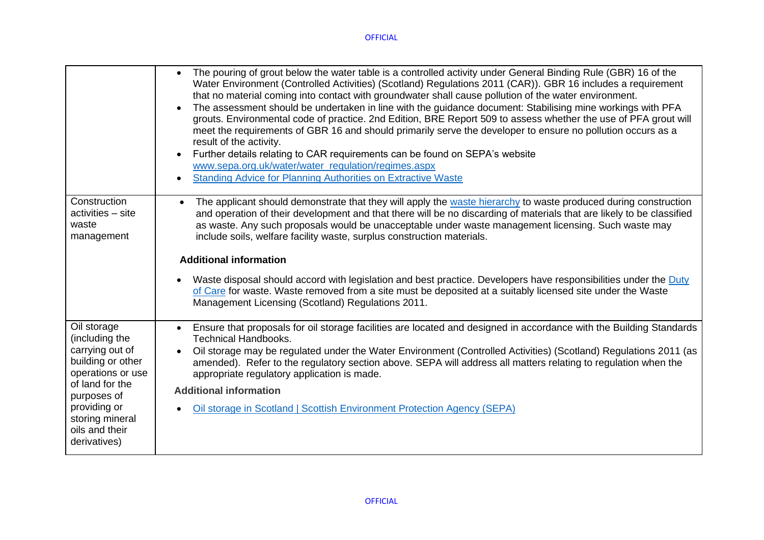|                                                                                                                                                                                                   | The pouring of grout below the water table is a controlled activity under General Binding Rule (GBR) 16 of the<br>$\bullet$<br>Water Environment (Controlled Activities) (Scotland) Regulations 2011 (CAR)). GBR 16 includes a requirement<br>that no material coming into contact with groundwater shall cause pollution of the water environment.<br>The assessment should be undertaken in line with the guidance document: Stabilising mine workings with PFA<br>grouts. Environmental code of practice. 2nd Edition, BRE Report 509 to assess whether the use of PFA grout will<br>meet the requirements of GBR 16 and should primarily serve the developer to ensure no pollution occurs as a<br>result of the activity.<br>Further details relating to CAR requirements can be found on SEPA's website<br>www.sepa.org.uk/water/water_regulation/regimes.aspx<br><b>Standing Advice for Planning Authorities on Extractive Waste</b> |
|---------------------------------------------------------------------------------------------------------------------------------------------------------------------------------------------------|---------------------------------------------------------------------------------------------------------------------------------------------------------------------------------------------------------------------------------------------------------------------------------------------------------------------------------------------------------------------------------------------------------------------------------------------------------------------------------------------------------------------------------------------------------------------------------------------------------------------------------------------------------------------------------------------------------------------------------------------------------------------------------------------------------------------------------------------------------------------------------------------------------------------------------------------|
| Construction<br>activities - site<br>waste<br>management                                                                                                                                          | The applicant should demonstrate that they will apply the waste hierarchy to waste produced during construction<br>$\bullet$<br>and operation of their development and that there will be no discarding of materials that are likely to be classified<br>as waste. Any such proposals would be unacceptable under waste management licensing. Such waste may<br>include soils, welfare facility waste, surplus construction materials.<br><b>Additional information</b><br>Waste disposal should accord with legislation and best practice. Developers have responsibilities under the Duty<br>of Care for waste. Waste removed from a site must be deposited at a suitably licensed site under the Waste<br>Management Licensing (Scotland) Regulations 2011.                                                                                                                                                                              |
| Oil storage<br>(including the<br>carrying out of<br>building or other<br>operations or use<br>of land for the<br>purposes of<br>providing or<br>storing mineral<br>oils and their<br>derivatives) | Ensure that proposals for oil storage facilities are located and designed in accordance with the Building Standards<br><b>Technical Handbooks.</b><br>Oil storage may be regulated under the Water Environment (Controlled Activities) (Scotland) Regulations 2011 (as<br>amended). Refer to the regulatory section above. SEPA will address all matters relating to regulation when the<br>appropriate regulatory application is made.<br><b>Additional information</b><br>Oil storage in Scotland   Scottish Environment Protection Agency (SEPA)                                                                                                                                                                                                                                                                                                                                                                                         |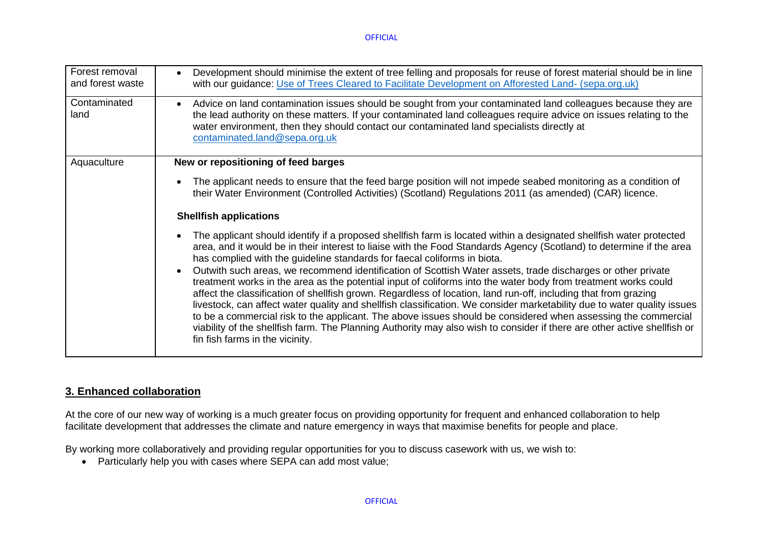| Forest removal<br>and forest waste | Development should minimise the extent of tree felling and proposals for reuse of forest material should be in line<br>$\bullet$<br>with our guidance: Use of Trees Cleared to Facilitate Development on Afforested Land- (sepa.org.uk)                                                                                                                                                                                                                                                                                                                                                                                                                                                                                                                                  |
|------------------------------------|--------------------------------------------------------------------------------------------------------------------------------------------------------------------------------------------------------------------------------------------------------------------------------------------------------------------------------------------------------------------------------------------------------------------------------------------------------------------------------------------------------------------------------------------------------------------------------------------------------------------------------------------------------------------------------------------------------------------------------------------------------------------------|
| Contaminated<br>land               | Advice on land contamination issues should be sought from your contaminated land colleagues because they are<br>$\bullet$<br>the lead authority on these matters. If your contaminated land colleagues require advice on issues relating to the<br>water environment, then they should contact our contaminated land specialists directly at<br>contaminated.land@sepa.org.uk                                                                                                                                                                                                                                                                                                                                                                                            |
| Aquaculture                        | New or repositioning of feed barges                                                                                                                                                                                                                                                                                                                                                                                                                                                                                                                                                                                                                                                                                                                                      |
|                                    | The applicant needs to ensure that the feed barge position will not impede seabed monitoring as a condition of<br>$\bullet$<br>their Water Environment (Controlled Activities) (Scotland) Regulations 2011 (as amended) (CAR) licence.                                                                                                                                                                                                                                                                                                                                                                                                                                                                                                                                   |
|                                    | <b>Shellfish applications</b>                                                                                                                                                                                                                                                                                                                                                                                                                                                                                                                                                                                                                                                                                                                                            |
|                                    | The applicant should identify if a proposed shellfish farm is located within a designated shellfish water protected<br>$\bullet$<br>area, and it would be in their interest to liaise with the Food Standards Agency (Scotland) to determine if the area<br>has complied with the guideline standards for faecal coliforms in biota.                                                                                                                                                                                                                                                                                                                                                                                                                                     |
|                                    | Outwith such areas, we recommend identification of Scottish Water assets, trade discharges or other private<br>$\bullet$<br>treatment works in the area as the potential input of coliforms into the water body from treatment works could<br>affect the classification of shellfish grown. Regardless of location, land run-off, including that from grazing<br>livestock, can affect water quality and shellfish classification. We consider marketability due to water quality issues<br>to be a commercial risk to the applicant. The above issues should be considered when assessing the commercial<br>viability of the shellfish farm. The Planning Authority may also wish to consider if there are other active shellfish or<br>fin fish farms in the vicinity. |

## **3. Enhanced collaboration**

At the core of our new way of working is a much greater focus on providing opportunity for frequent and enhanced collaboration to help facilitate development that addresses the climate and nature emergency in ways that maximise benefits for people and place.

By working more collaboratively and providing regular opportunities for you to discuss casework with us, we wish to:

• Particularly help you with cases where SEPA can add most value;